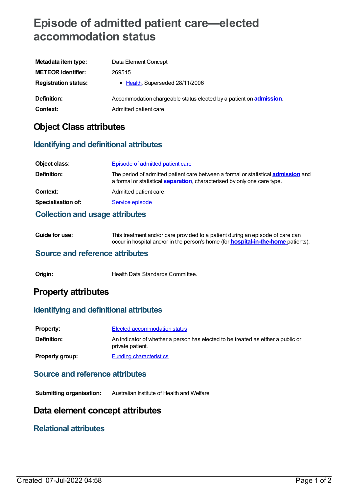# **Episode of admitted patient care—elected accommodation status**

| Metadata item type:         | Data Element Concept                                                       |
|-----------------------------|----------------------------------------------------------------------------|
| <b>METEOR identifier:</b>   | 269515                                                                     |
| <b>Registration status:</b> | • Health, Superseded 28/11/2006                                            |
| <b>Definition:</b>          | Accommodation chargeable status elected by a patient on <b>admission</b> . |
| Context:                    | Admitted patient care.                                                     |

## **Object Class attributes**

### **Identifying and definitional attributes**

| Object class:             | <b>Episode of admitted patient care</b>                                                                                                                                      |
|---------------------------|------------------------------------------------------------------------------------------------------------------------------------------------------------------------------|
| Definition:               | The period of admitted patient care between a formal or statistical <b>admission</b> and<br>a formal or statistical <b>separation</b> , characterised by only one care type. |
| Context:                  | Admitted patient care.                                                                                                                                                       |
| <b>Specialisation of:</b> | Service episode                                                                                                                                                              |

### **Collection and usage attributes**

| Guide for use: | This treatment and/or care provided to a patient during an episode of care can            |
|----------------|-------------------------------------------------------------------------------------------|
|                | occur in hospital and/or in the person's home (for <b>hospital-in-the-home</b> patients). |

### **Source and reference attributes**

**Origin:** Health Data Standards Committee.

### **Property attributes**

### **Identifying and definitional attributes**

| <b>Property:</b>       | Elected accommodation status                                                                         |
|------------------------|------------------------------------------------------------------------------------------------------|
| Definition:            | An indicator of whether a person has elected to be treated as either a public or<br>private patient. |
| <b>Property group:</b> | <b>Funding characteristics</b>                                                                       |

### **Source and reference attributes**

**Submitting organisation:** Australian Institute of Health and Welfare

### **Data element concept attributes**

### **Relational attributes**